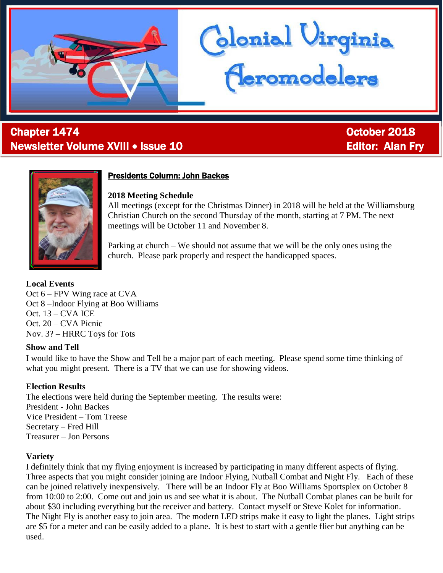

# l Chapter 1474 October 2018 Newsletter Volume XVIII • Issue 10 **Editor: Alan Fry** Editor: Alan Fry



## Presidents Column: John Backes

#### **2018 Meeting Schedule**

All meetings (except for the Christmas Dinner) in 2018 will be held at the Williamsburg Christian Church on the second Thursday of the month, starting at 7 PM. The next meetings will be October 11 and November 8.

blonial Virginia<br>Acromodelers

Parking at church – We should not assume that we will be the only ones using the church. Please park properly and respect the handicapped spaces.

# **Local Events**

Oct 6 – FPV Wing race at CVA Oct 8 –Indoor Flying at Boo Williams Oct. 13 – CVA ICE Oct. 20 – CVA Picnic Nov. 3? – HRRC Toys for Tots

### **Show and Tell**

I would like to have the Show and Tell be a major part of each meeting. Please spend some time thinking of what you might present. There is a TV that we can use for showing videos.

# **Election Results**

The elections were held during the September meeting. The results were: President - John Backes Vice President – Tom Treese Secretary – Fred Hill Treasurer – Jon Persons

### **Variety**

I definitely think that my flying enjoyment is increased by participating in many different aspects of flying. Three aspects that you might consider joining are Indoor Flying, Nutball Combat and Night Fly. Each of these can be joined relatively inexpensively. There will be an Indoor Fly at Boo Williams Sportsplex on October 8 from 10:00 to 2:00. Come out and join us and see what it is about. The Nutball Combat planes can be built for about \$30 including everything but the receiver and battery. Contact myself or Steve Kolet for information. The Night Fly is another easy to join area. The modern LED strips make it easy to light the planes. Light strips are \$5 for a meter and can be easily added to a plane. It is best to start with a gentle flier but anything can be used.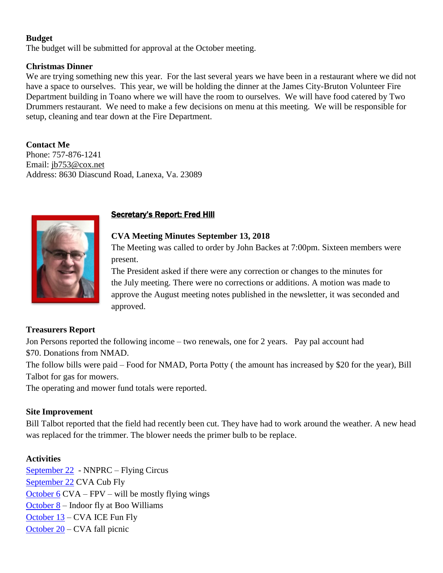### **Budget**

The budget will be submitted for approval at the October meeting.

### **Christmas Dinner**

We are trying something new this year. For the last several years we have been in a restaurant where we did not have a space to ourselves. This year, we will be holding the dinner at the James City-Bruton Volunteer Fire Department building in Toano where we will have the room to ourselves. We will have food catered by Two Drummers restaurant. We need to make a few decisions on menu at this meeting. We will be responsible for setup, cleaning and tear down at the Fire Department.

**Contact Me** Phone: 757-876-1241 Email: [jb753@cox.net](mailto:jb753@cox.net) Address: 8630 Diascund Road, Lanexa, Va. 23089



# Secretary's Report: Fred Hill

## **CVA Meeting Minutes September 13, 2018**

The Meeting was called to order by John Backes [at 7:00pm.](x-apple-data-detectors://1/) Sixteen members were present.

The President asked if there were any correction or changes to the minutes for the July meeting. There were no corrections or additions. A motion was made to approve the August meeting notes published in the newsletter, it was seconded and approved.

### **Treasurers Report**

Jon Persons reported the following income – two renewals, one for 2 years. Pay pal account had \$70. Donations from NMAD.

The follow bills were paid – Food for NMAD, Porta Potty ( the amount has increased by \$20 for the year), Bill Talbot for gas for mowers.

The operating and mower fund totals were reported.

### **Site Improvement**

Bill Talbot reported that the field had recently been cut. They have had to work around the weather. A new head was replaced for the trimmer. The blower needs the primer bulb to be replace.

# **Activities**

[September](x-apple-data-detectors://4/) [22](x-apple-data-detectors://4/) - NNPRC – Flying Circus [September 22](x-apple-data-detectors://5/) CVA Cub Fly [October 6](x-apple-data-detectors://6/) CVA – FPV – will be mostly flying wings [October 8](x-apple-data-detectors://7/) – Indoor fly at Boo Williams [October 13](x-apple-data-detectors://8/) – CVA ICE Fun Fly [October 20](x-apple-data-detectors://9/) – CVA fall picnic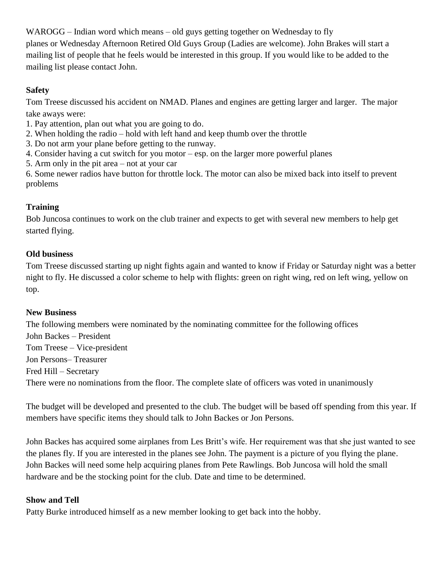WAROGG – Indian word which means – old guys getting together on Wednesday to fly planes or Wednesday Afternoon Retired Old Guys Group (Ladies are welcome). John Brakes will start a mailing list of people that he feels would be interested in this group. If you would like to be added to the mailing list please contact John.

# **Safety**

Tom Treese discussed his accident on NMAD. Planes and engines are getting larger and larger. The major take aways were:

- 1. Pay attention, plan out what you are going to do.
- 2. When holding the radio hold with left hand and keep thumb over the throttle
- 3. Do not arm your plane before getting to the runway.
- 4. Consider having a cut switch for you motor esp. on the larger more powerful planes
- 5. Arm only in the pit area not at your car

6. Some newer radios have button for throttle lock. The motor can also be mixed back into itself to prevent problems

# **Training**

Bob Juncosa continues to work on the club trainer and expects to get with several new members to help get started flying.

# **Old business**

Tom Treese discussed starting up night fights again and wanted to know if Friday or [Saturday night](x-apple-data-detectors://12/) was a better night to fly. He discussed a color scheme to help with flights: green on right wing, red on left wing, yellow on top.

### **New Business**

The following members were nominated by the nominating committee for the following offices John Backes – President Tom Treese – Vice-president Jon Persons– Treasurer Fred Hill – Secretary There were no nominations from the floor. The complete slate of officers was voted in unanimously

The budget will be developed and presented to the club. The budget will be based off spending from this year. If members have specific items they should talk to John Backes or Jon Persons.

John Backes has acquired some airplanes from Les Britt's wife. Her requirement was that she just wanted to see the planes fly. If you are interested in the planes see John. The payment is a picture of you flying the plane. John Backes will need some help acquiring planes from Pete Rawlings. Bob Juncosa will hold the small hardware and be the stocking point for the club. Date and time to be determined.

# **Show and Tell**

Patty Burke introduced himself as a new member looking to get back into the hobby.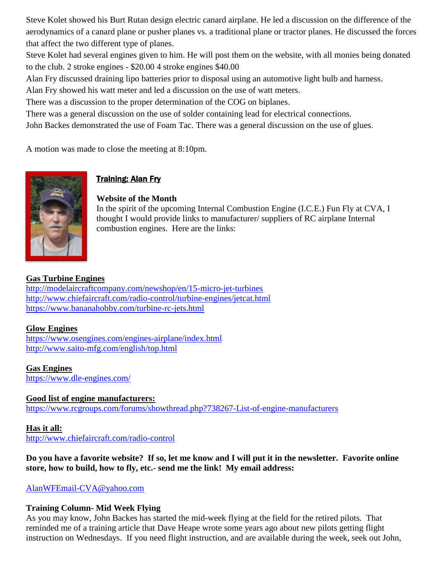Steve Kolet showed his Burt Rutan design electric canard airplane. He led a discussion on the difference of the aerodynamics of a canard plane or pusher planes vs. a traditional plane or tractor planes. He discussed the forces that affect the two different type of planes.

Steve Kolet had several engines given to him. He will post them on the website, with all monies being donated to the club. 2 stroke engines - \$20.00 4 stroke engines \$40.00

Alan Fry discussed draining lipo batteries prior to disposal using an automotive light bulb and harness.

Alan Fry showed his watt meter and led a discussion on the use of watt meters.

There was a discussion to the proper determination of the COG on biplanes.

There was a general discussion on the use of solder containing lead for electrical connections.

John Backes demonstrated the use of Foam Tac. There was a general discussion on the use of glues.

A motion was made to close the meeting [at 8:10pm.](x-apple-data-detectors://18/)



# **Training: Alan Fry**

# **Website of the Month**

In the spirit of the upcoming Internal Combustion Engine (I.C.E.) Fun Fly at CVA, I thought I would provide links to manufacturer/ suppliers of RC airplane Internal combustion engines. Here are the links:

# **Gas Turbine Engines**

<http://modelaircraftcompany.com/newshop/en/15-micro-jet-turbines> <http://www.chiefaircraft.com/radio-control/turbine-engines/jetcat.html> <https://www.bananahobby.com/turbine-rc-jets.html>

# **Glow Engines**

<https://www.osengines.com/engines-airplane/index.html> <http://www.saito-mfg.com/english/top.html>

**Gas Engines** <https://www.dle-engines.com/>

**Good list of engine manufacturers:** <https://www.rcgroups.com/forums/showthread.php?738267-List-of-engine-manufacturers>

### **Has it all:**

<http://www.chiefaircraft.com/radio-control>

### **Do you have a favorite website? If so, let me know and I will put it in the newsletter. Favorite online store, how to build, how to fly, etc.- send me the link! My email address:**

[AlanWFEmail-CVA@yahoo.com](mailto:AlanWFEmail-CVA@yahoo.com)

# **Training Column- Mid Week Flying**

As you may know, John Backes has started the mid-week flying at the field for the retired pilots. That reminded me of a training article that Dave Heape wrote some years ago about new pilots getting flight instruction on Wednesdays. If you need flight instruction, and are available during the week, seek out John,